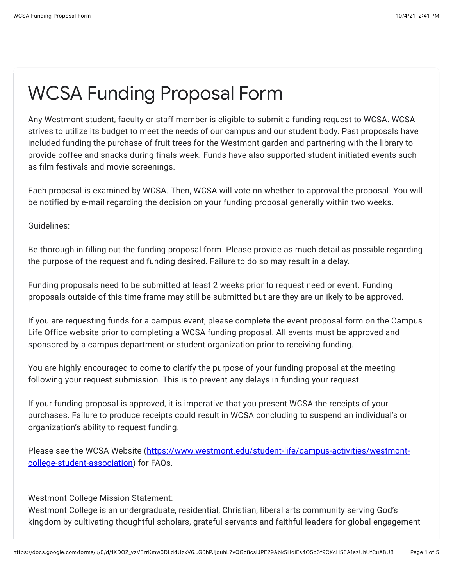## WCSA Funding Proposal Form

Any Westmont student, faculty or staff member is eligible to submit a funding request to WCSA. WCSA strives to utilize its budget to meet the needs of our campus and our student body. Past proposals have included funding the purchase of fruit trees for the Westmont garden and partnering with the library to provide coffee and snacks during finals week. Funds have also supported student initiated events such as film festivals and movie screenings.

Each proposal is examined by WCSA. Then, WCSA will vote on whether to approval the proposal. You will be notified by e-mail regarding the decision on your funding proposal generally within two weeks.

Guidelines:

Be thorough in filling out the funding proposal form. Please provide as much detail as possible regarding the purpose of the request and funding desired. Failure to do so may result in a delay.

Funding proposals need to be submitted at least 2 weeks prior to request need or event. Funding proposals outside of this time frame may still be submitted but are they are unlikely to be approved.

If you are requesting funds for a campus event, please complete the event proposal form on the Campus Life Office website prior to completing a WCSA funding proposal. All events must be approved and sponsored by a campus department or student organization prior to receiving funding.

You are highly encouraged to come to clarify the purpose of your funding proposal at the meeting following your request submission. This is to prevent any delays in funding your request.

If your funding proposal is approved, it is imperative that you present WCSA the receipts of your purchases. Failure to produce receipts could result in WCSA concluding to suspend an individual's or organization's ability to request funding.

[Please see the WCSA Website \(https://www.westmont.edu/student-life/campus-activities/westmont](https://www.google.com/url?q=https://www.westmont.edu/student-life/campus-activities/westmont-college-student-association&sa=D&source=editors&ust=1633387282827000&usg=AFQjCNEH4wgbj3Ps83wCeIJoBtGMjYHPRQ)college-student-association) for FAQs.

Westmont College Mission Statement:

Westmont College is an undergraduate, residential, Christian, liberal arts community serving God's kingdom by cultivating thoughtful scholars, grateful servants and faithful leaders for global engagement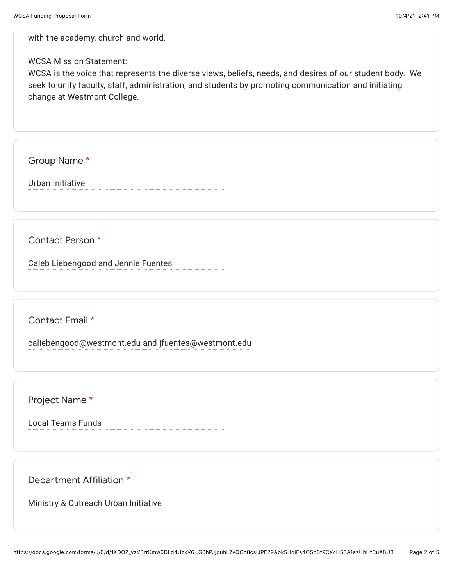with the academy, church and world.

WCSA Mission Statement:

WCSA is the voice that represents the diverse views, beliefs, needs, and desires of our student body. We seek to unify faculty, staff, administration, and students by promoting communication and initiating change at Westmont College.

Group Name \*

Urban Initiative

Contact Person \*

Caleb Liebengood and Jennie Fuentes

Contact Email \*

caliebengood@westmont.edu and jfuentes@westmont.edu

Project Name \*

Local Teams Funds

Department Affiliation \*

Ministry & Outreach Urban Initiative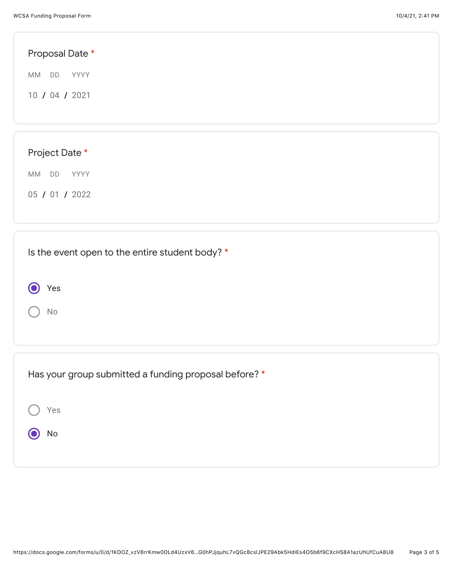| Proposal Date *                                 |  |
|-------------------------------------------------|--|
| MM DD<br>YYYY                                   |  |
| 10 / 04 / 2021                                  |  |
|                                                 |  |
| Project Date *                                  |  |
|                                                 |  |
| MM DD YYYY                                      |  |
| 05 / 01 / 2022                                  |  |
|                                                 |  |
| Is the event open to the entire student body? * |  |
|                                                 |  |
| Yes                                             |  |
| $\mathsf{No}$                                   |  |
|                                                 |  |

| Has your group submitted a funding proposal before? * |  |
|-------------------------------------------------------|--|
| Yes                                                   |  |
| No                                                    |  |
|                                                       |  |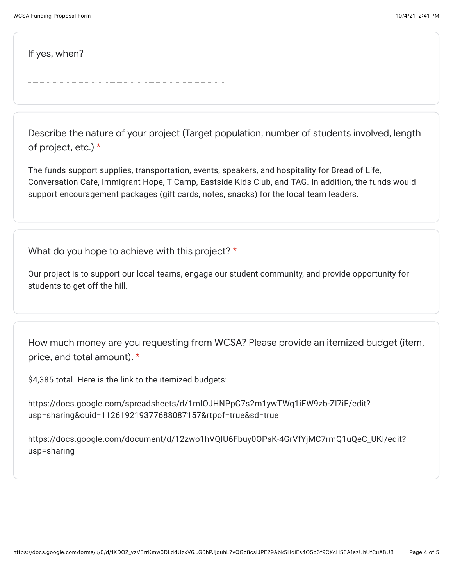If yes, when?

Describe the nature of your project (Target population, number of students involved, length of project, etc.) \*

The funds support supplies, transportation, events, speakers, and hospitality for Bread of Life, Conversation Cafe, Immigrant Hope, T Camp, Eastside Kids Club, and TAG. In addition, the funds would support encouragement packages (gift cards, notes, snacks) for the local team leaders.

What do you hope to achieve with this project? \*

Our project is to support our local teams, engage our student community, and provide opportunity for students to get off the hill.

How much money are you requesting from WCSA? Please provide an itemized budget (item, price, and total amount). \*

\$4,385 total. Here is the link to the itemized budgets:

https://docs.google.com/spreadsheets/d/1mIOJHNPpC7s2m1ywTWq1iEW9zb-Zl7iF/edit? usp=sharing&ouid=112619219377688087157&rtpof=true&sd=true

https://docs.google.com/document/d/12zwo1hVQIU6Fbuy0OPsK-4GrVfYjMC7rmQ1uQeC\_UKI/edit? usp=sharing